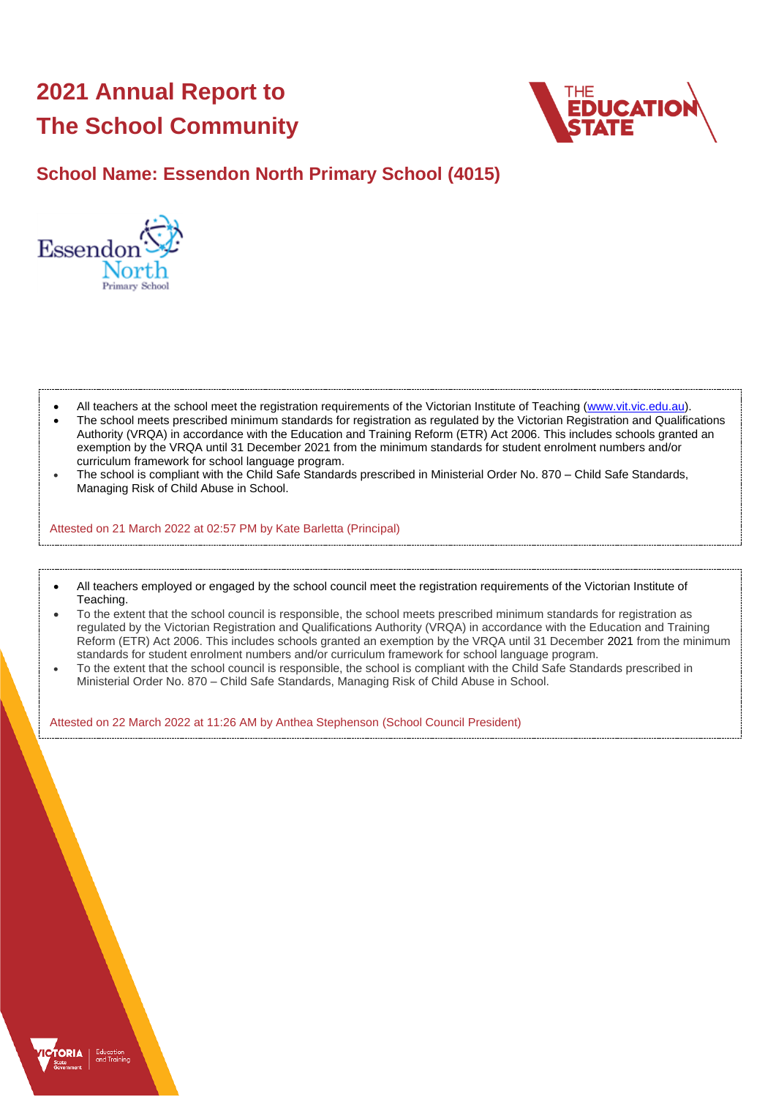# **2021 Annual Report to The School Community**



# **School Name: Essendon North Primary School (4015)**



- All teachers at the school meet the registration requirements of the Victorian Institute of Teaching [\(www.vit.vic.edu.au\)](https://www.vit.vic.edu.au/).
- The school meets prescribed minimum standards for registration as regulated by the Victorian Registration and Qualifications Authority (VRQA) in accordance with the Education and Training Reform (ETR) Act 2006. This includes schools granted an exemption by the VRQA until 31 December 2021 from the minimum standards for student enrolment numbers and/or curriculum framework for school language program.
- The school is compliant with the Child Safe Standards prescribed in Ministerial Order No. 870 Child Safe Standards, Managing Risk of Child Abuse in School.

Attested on 21 March 2022 at 02:57 PM by Kate Barletta (Principal)

- All teachers employed or engaged by the school council meet the registration requirements of the Victorian Institute of Teaching.
- To the extent that the school council is responsible, the school meets prescribed minimum standards for registration as regulated by the Victorian Registration and Qualifications Authority (VRQA) in accordance with the Education and Training Reform (ETR) Act 2006. This includes schools granted an exemption by the VRQA until 31 December 2021 from the minimum standards for student enrolment numbers and/or curriculum framework for school language program.
- To the extent that the school council is responsible, the school is compliant with the Child Safe Standards prescribed in Ministerial Order No. 870 – Child Safe Standards, Managing Risk of Child Abuse in School.

Attested on 22 March 2022 at 11:26 AM by Anthea Stephenson (School Council President)

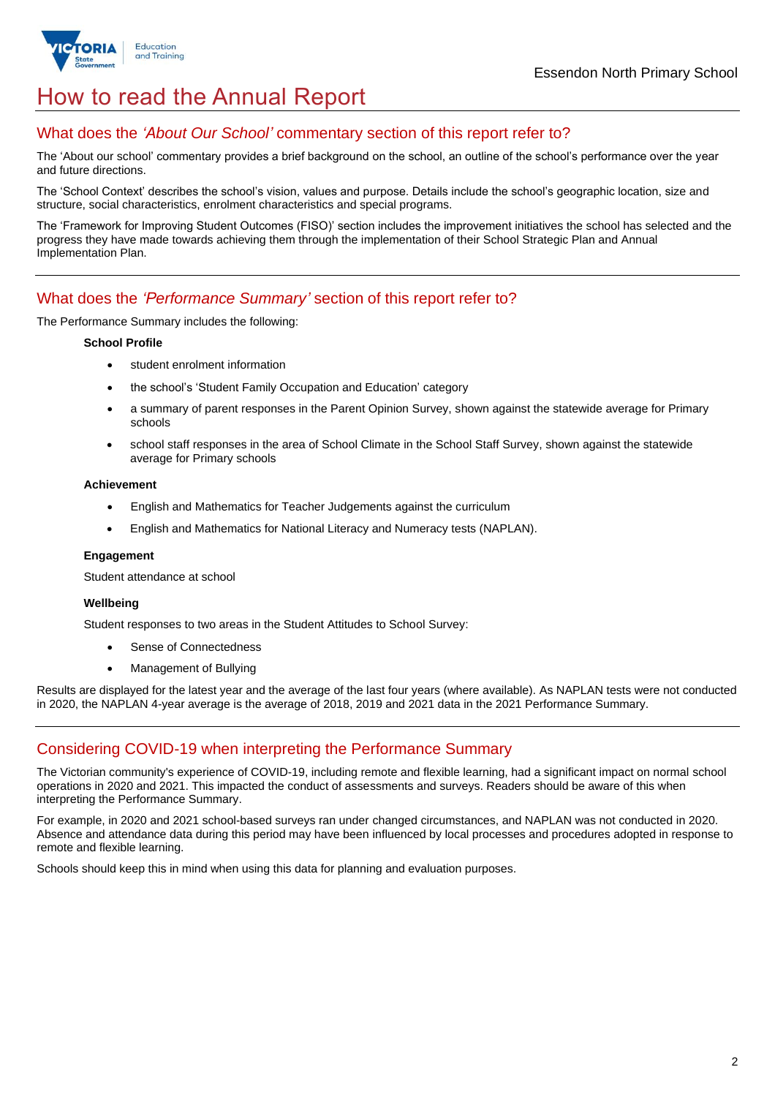

# How to read the Annual Report

## What does the *'About Our School'* commentary section of this report refer to?

The 'About our school' commentary provides a brief background on the school, an outline of the school's performance over the year and future directions.

The 'School Context' describes the school's vision, values and purpose. Details include the school's geographic location, size and structure, social characteristics, enrolment characteristics and special programs.

The 'Framework for Improving Student Outcomes (FISO)' section includes the improvement initiatives the school has selected and the progress they have made towards achieving them through the implementation of their School Strategic Plan and Annual Implementation Plan.

### What does the *'Performance Summary'* section of this report refer to?

The Performance Summary includes the following:

#### **School Profile**

- student enrolment information
- the school's 'Student Family Occupation and Education' category
- a summary of parent responses in the Parent Opinion Survey, shown against the statewide average for Primary schools
- school staff responses in the area of School Climate in the School Staff Survey, shown against the statewide average for Primary schools

#### **Achievement**

- English and Mathematics for Teacher Judgements against the curriculum
- English and Mathematics for National Literacy and Numeracy tests (NAPLAN).

#### **Engagement**

Student attendance at school

### **Wellbeing**

Student responses to two areas in the Student Attitudes to School Survey:

- Sense of Connectedness
- Management of Bullying

Results are displayed for the latest year and the average of the last four years (where available). As NAPLAN tests were not conducted in 2020, the NAPLAN 4-year average is the average of 2018, 2019 and 2021 data in the 2021 Performance Summary.

## Considering COVID-19 when interpreting the Performance Summary

The Victorian community's experience of COVID-19, including remote and flexible learning, had a significant impact on normal school operations in 2020 and 2021. This impacted the conduct of assessments and surveys. Readers should be aware of this when interpreting the Performance Summary.

For example, in 2020 and 2021 school-based surveys ran under changed circumstances, and NAPLAN was not conducted in 2020. Absence and attendance data during this period may have been influenced by local processes and procedures adopted in response to remote and flexible learning.

Schools should keep this in mind when using this data for planning and evaluation purposes.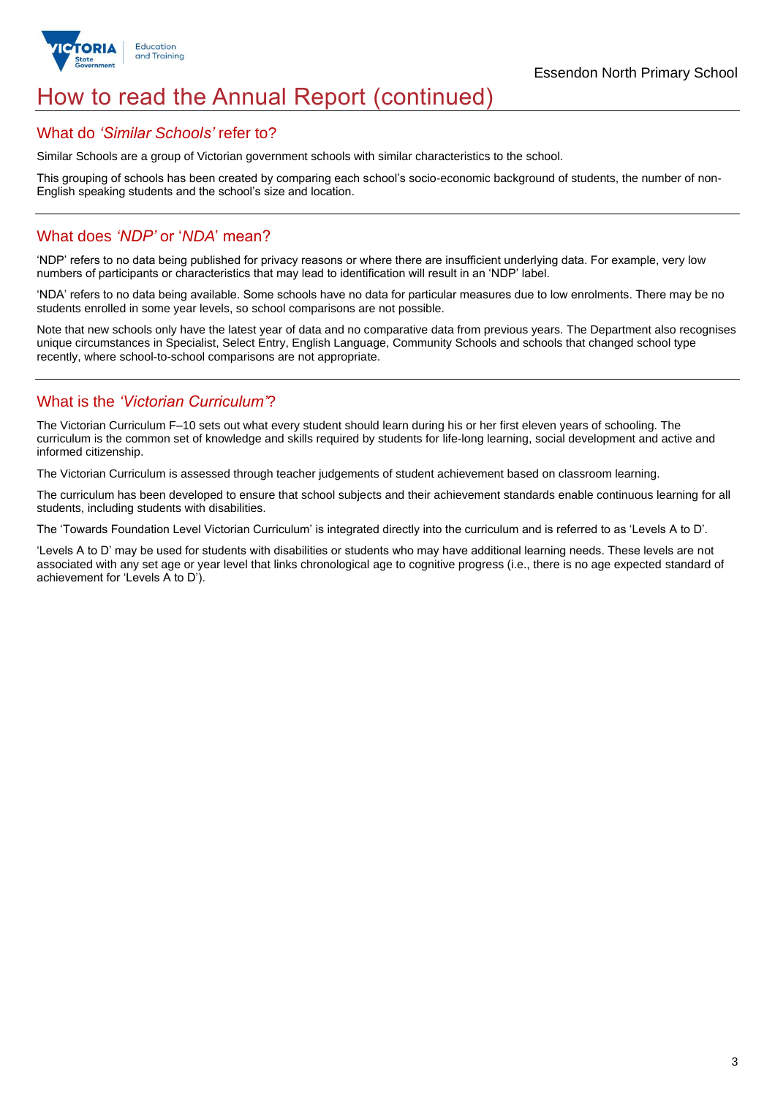

# How to read the Annual Report (continued)

### What do *'Similar Schools'* refer to?

Similar Schools are a group of Victorian government schools with similar characteristics to the school.

This grouping of schools has been created by comparing each school's socio-economic background of students, the number of non-English speaking students and the school's size and location.

## What does *'NDP'* or '*NDA*' mean?

'NDP' refers to no data being published for privacy reasons or where there are insufficient underlying data. For example, very low numbers of participants or characteristics that may lead to identification will result in an 'NDP' label.

'NDA' refers to no data being available. Some schools have no data for particular measures due to low enrolments. There may be no students enrolled in some year levels, so school comparisons are not possible.

Note that new schools only have the latest year of data and no comparative data from previous years. The Department also recognises unique circumstances in Specialist, Select Entry, English Language, Community Schools and schools that changed school type recently, where school-to-school comparisons are not appropriate.

## What is the *'Victorian Curriculum'*?

The Victorian Curriculum F–10 sets out what every student should learn during his or her first eleven years of schooling. The curriculum is the common set of knowledge and skills required by students for life-long learning, social development and active and informed citizenship.

The Victorian Curriculum is assessed through teacher judgements of student achievement based on classroom learning.

The curriculum has been developed to ensure that school subjects and their achievement standards enable continuous learning for all students, including students with disabilities.

The 'Towards Foundation Level Victorian Curriculum' is integrated directly into the curriculum and is referred to as 'Levels A to D'.

'Levels A to D' may be used for students with disabilities or students who may have additional learning needs. These levels are not associated with any set age or year level that links chronological age to cognitive progress (i.e., there is no age expected standard of achievement for 'Levels A to D').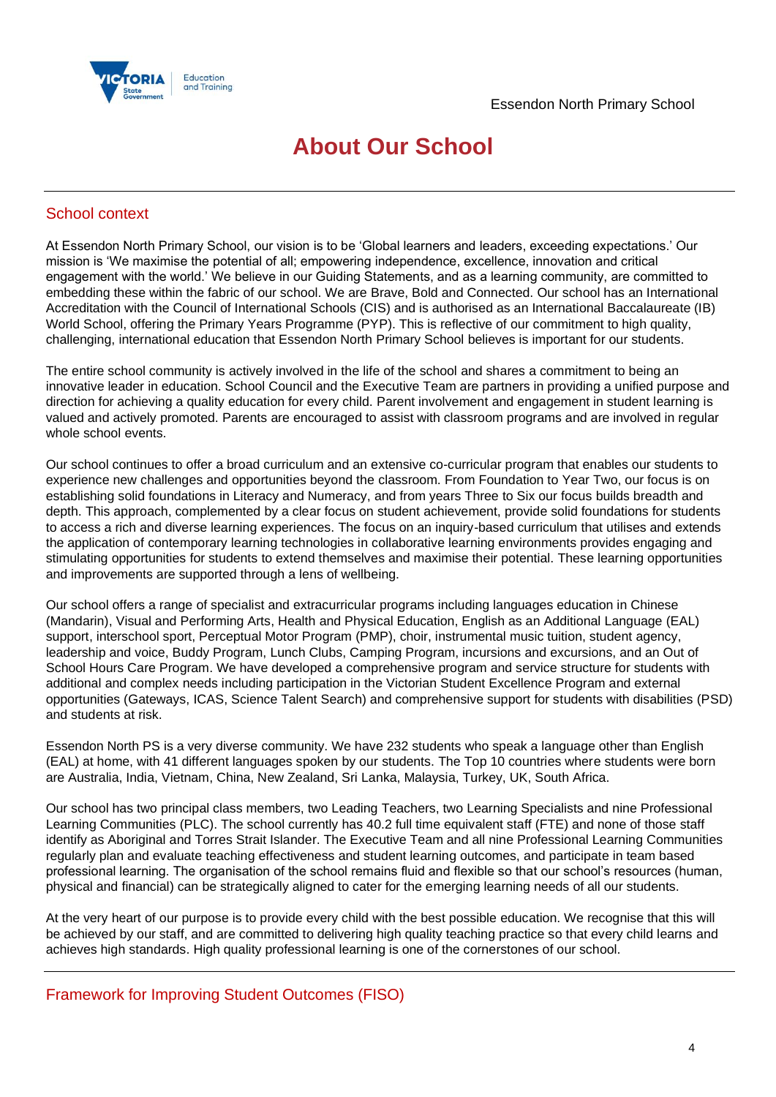



# **About Our School**

## School context

At Essendon North Primary School, our vision is to be 'Global learners and leaders, exceeding expectations.' Our mission is 'We maximise the potential of all; empowering independence, excellence, innovation and critical engagement with the world.' We believe in our Guiding Statements, and as a learning community, are committed to embedding these within the fabric of our school. We are Brave, Bold and Connected. Our school has an International Accreditation with the Council of International Schools (CIS) and is authorised as an International Baccalaureate (IB) World School, offering the Primary Years Programme (PYP). This is reflective of our commitment to high quality, challenging, international education that Essendon North Primary School believes is important for our students.

The entire school community is actively involved in the life of the school and shares a commitment to being an innovative leader in education. School Council and the Executive Team are partners in providing a unified purpose and direction for achieving a quality education for every child. Parent involvement and engagement in student learning is valued and actively promoted. Parents are encouraged to assist with classroom programs and are involved in regular whole school events.

Our school continues to offer a broad curriculum and an extensive co-curricular program that enables our students to experience new challenges and opportunities beyond the classroom. From Foundation to Year Two, our focus is on establishing solid foundations in Literacy and Numeracy, and from years Three to Six our focus builds breadth and depth. This approach, complemented by a clear focus on student achievement, provide solid foundations for students to access a rich and diverse learning experiences. The focus on an inquiry-based curriculum that utilises and extends the application of contemporary learning technologies in collaborative learning environments provides engaging and stimulating opportunities for students to extend themselves and maximise their potential. These learning opportunities and improvements are supported through a lens of wellbeing.

Our school offers a range of specialist and extracurricular programs including languages education in Chinese (Mandarin), Visual and Performing Arts, Health and Physical Education, English as an Additional Language (EAL) support, interschool sport, Perceptual Motor Program (PMP), choir, instrumental music tuition, student agency, leadership and voice, Buddy Program, Lunch Clubs, Camping Program, incursions and excursions, and an Out of School Hours Care Program. We have developed a comprehensive program and service structure for students with additional and complex needs including participation in the Victorian Student Excellence Program and external opportunities (Gateways, ICAS, Science Talent Search) and comprehensive support for students with disabilities (PSD) and students at risk.

Essendon North PS is a very diverse community. We have 232 students who speak a language other than English (EAL) at home, with 41 different languages spoken by our students. The Top 10 countries where students were born are Australia, India, Vietnam, China, New Zealand, Sri Lanka, Malaysia, Turkey, UK, South Africa.

Our school has two principal class members, two Leading Teachers, two Learning Specialists and nine Professional Learning Communities (PLC). The school currently has 40.2 full time equivalent staff (FTE) and none of those staff identify as Aboriginal and Torres Strait Islander. The Executive Team and all nine Professional Learning Communities regularly plan and evaluate teaching effectiveness and student learning outcomes, and participate in team based professional learning. The organisation of the school remains fluid and flexible so that our school's resources (human, physical and financial) can be strategically aligned to cater for the emerging learning needs of all our students.

At the very heart of our purpose is to provide every child with the best possible education. We recognise that this will be achieved by our staff, and are committed to delivering high quality teaching practice so that every child learns and achieves high standards. High quality professional learning is one of the cornerstones of our school.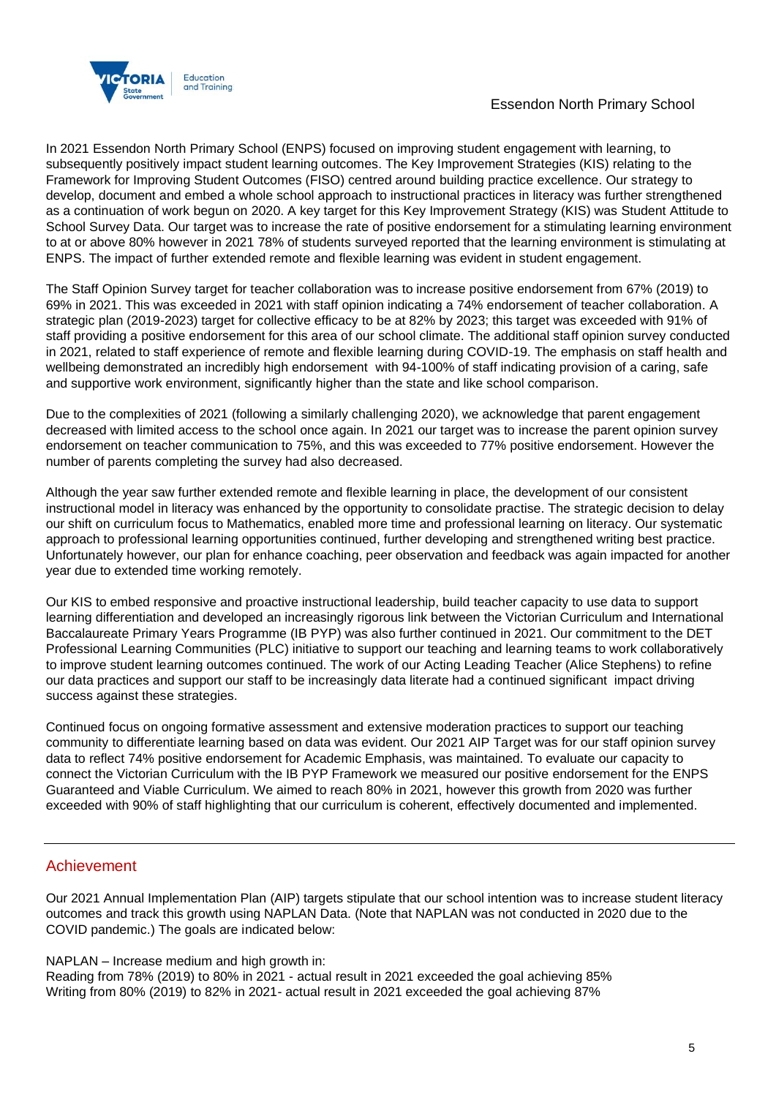

### Essendon North Primary School

In 2021 Essendon North Primary School (ENPS) focused on improving student engagement with learning, to subsequently positively impact student learning outcomes. The Key Improvement Strategies (KIS) relating to the Framework for Improving Student Outcomes (FISO) centred around building practice excellence. Our strategy to develop, document and embed a whole school approach to instructional practices in literacy was further strengthened as a continuation of work begun on 2020. A key target for this Key Improvement Strategy (KIS) was Student Attitude to School Survey Data. Our target was to increase the rate of positive endorsement for a stimulating learning environment to at or above 80% however in 2021 78% of students surveyed reported that the learning environment is stimulating at ENPS. The impact of further extended remote and flexible learning was evident in student engagement.

The Staff Opinion Survey target for teacher collaboration was to increase positive endorsement from 67% (2019) to 69% in 2021. This was exceeded in 2021 with staff opinion indicating a 74% endorsement of teacher collaboration. A strategic plan (2019-2023) target for collective efficacy to be at 82% by 2023; this target was exceeded with 91% of staff providing a positive endorsement for this area of our school climate. The additional staff opinion survey conducted in 2021, related to staff experience of remote and flexible learning during COVID-19. The emphasis on staff health and wellbeing demonstrated an incredibly high endorsement with 94-100% of staff indicating provision of a caring, safe and supportive work environment, significantly higher than the state and like school comparison.

Due to the complexities of 2021 (following a similarly challenging 2020), we acknowledge that parent engagement decreased with limited access to the school once again. In 2021 our target was to increase the parent opinion survey endorsement on teacher communication to 75%, and this was exceeded to 77% positive endorsement. However the number of parents completing the survey had also decreased.

Although the year saw further extended remote and flexible learning in place, the development of our consistent instructional model in literacy was enhanced by the opportunity to consolidate practise. The strategic decision to delay our shift on curriculum focus to Mathematics, enabled more time and professional learning on literacy. Our systematic approach to professional learning opportunities continued, further developing and strengthened writing best practice. Unfortunately however, our plan for enhance coaching, peer observation and feedback was again impacted for another year due to extended time working remotely.

Our KIS to embed responsive and proactive instructional leadership, build teacher capacity to use data to support learning differentiation and developed an increasingly rigorous link between the Victorian Curriculum and International Baccalaureate Primary Years Programme (IB PYP) was also further continued in 2021. Our commitment to the DET Professional Learning Communities (PLC) initiative to support our teaching and learning teams to work collaboratively to improve student learning outcomes continued. The work of our Acting Leading Teacher (Alice Stephens) to refine our data practices and support our staff to be increasingly data literate had a continued significant impact driving success against these strategies.

Continued focus on ongoing formative assessment and extensive moderation practices to support our teaching community to differentiate learning based on data was evident. Our 2021 AIP Target was for our staff opinion survey data to reflect 74% positive endorsement for Academic Emphasis, was maintained. To evaluate our capacity to connect the Victorian Curriculum with the IB PYP Framework we measured our positive endorsement for the ENPS Guaranteed and Viable Curriculum. We aimed to reach 80% in 2021, however this growth from 2020 was further exceeded with 90% of staff highlighting that our curriculum is coherent, effectively documented and implemented.

### Achievement

Our 2021 Annual Implementation Plan (AIP) targets stipulate that our school intention was to increase student literacy outcomes and track this growth using NAPLAN Data. (Note that NAPLAN was not conducted in 2020 due to the COVID pandemic.) The goals are indicated below:

### NAPLAN – Increase medium and high growth in:

Reading from 78% (2019) to 80% in 2021 - actual result in 2021 exceeded the goal achieving 85% Writing from 80% (2019) to 82% in 2021- actual result in 2021 exceeded the goal achieving 87%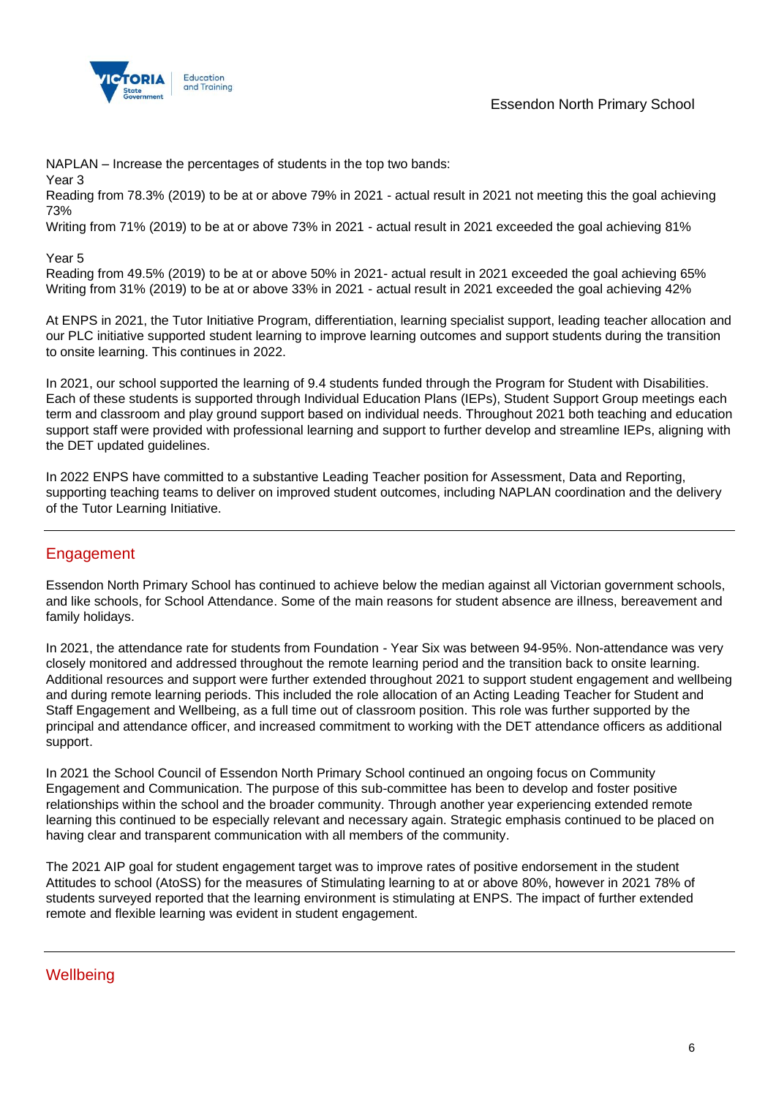

NAPLAN – Increase the percentages of students in the top two bands:

Year 3

Reading from 78.3% (2019) to be at or above 79% in 2021 - actual result in 2021 not meeting this the goal achieving 73%

Writing from 71% (2019) to be at or above 73% in 2021 - actual result in 2021 exceeded the goal achieving 81%

### Year 5

Reading from 49.5% (2019) to be at or above 50% in 2021- actual result in 2021 exceeded the goal achieving 65% Writing from 31% (2019) to be at or above 33% in 2021 - actual result in 2021 exceeded the goal achieving 42%

At ENPS in 2021, the Tutor Initiative Program, differentiation, learning specialist support, leading teacher allocation and our PLC initiative supported student learning to improve learning outcomes and support students during the transition to onsite learning. This continues in 2022.

In 2021, our school supported the learning of 9.4 students funded through the Program for Student with Disabilities. Each of these students is supported through Individual Education Plans (IEPs), Student Support Group meetings each term and classroom and play ground support based on individual needs. Throughout 2021 both teaching and education support staff were provided with professional learning and support to further develop and streamline IEPs, aligning with the DET updated guidelines.

In 2022 ENPS have committed to a substantive Leading Teacher position for Assessment, Data and Reporting, supporting teaching teams to deliver on improved student outcomes, including NAPLAN coordination and the delivery of the Tutor Learning Initiative.

## Engagement

Essendon North Primary School has continued to achieve below the median against all Victorian government schools, and like schools, for School Attendance. Some of the main reasons for student absence are illness, bereavement and family holidays.

In 2021, the attendance rate for students from Foundation - Year Six was between 94-95%. Non-attendance was very closely monitored and addressed throughout the remote learning period and the transition back to onsite learning. Additional resources and support were further extended throughout 2021 to support student engagement and wellbeing and during remote learning periods. This included the role allocation of an Acting Leading Teacher for Student and Staff Engagement and Wellbeing, as a full time out of classroom position. This role was further supported by the principal and attendance officer, and increased commitment to working with the DET attendance officers as additional support.

In 2021 the School Council of Essendon North Primary School continued an ongoing focus on Community Engagement and Communication. The purpose of this sub-committee has been to develop and foster positive relationships within the school and the broader community. Through another year experiencing extended remote learning this continued to be especially relevant and necessary again. Strategic emphasis continued to be placed on having clear and transparent communication with all members of the community.

The 2021 AIP goal for student engagement target was to improve rates of positive endorsement in the student Attitudes to school (AtoSS) for the measures of Stimulating learning to at or above 80%, however in 2021 78% of students surveyed reported that the learning environment is stimulating at ENPS. The impact of further extended remote and flexible learning was evident in student engagement.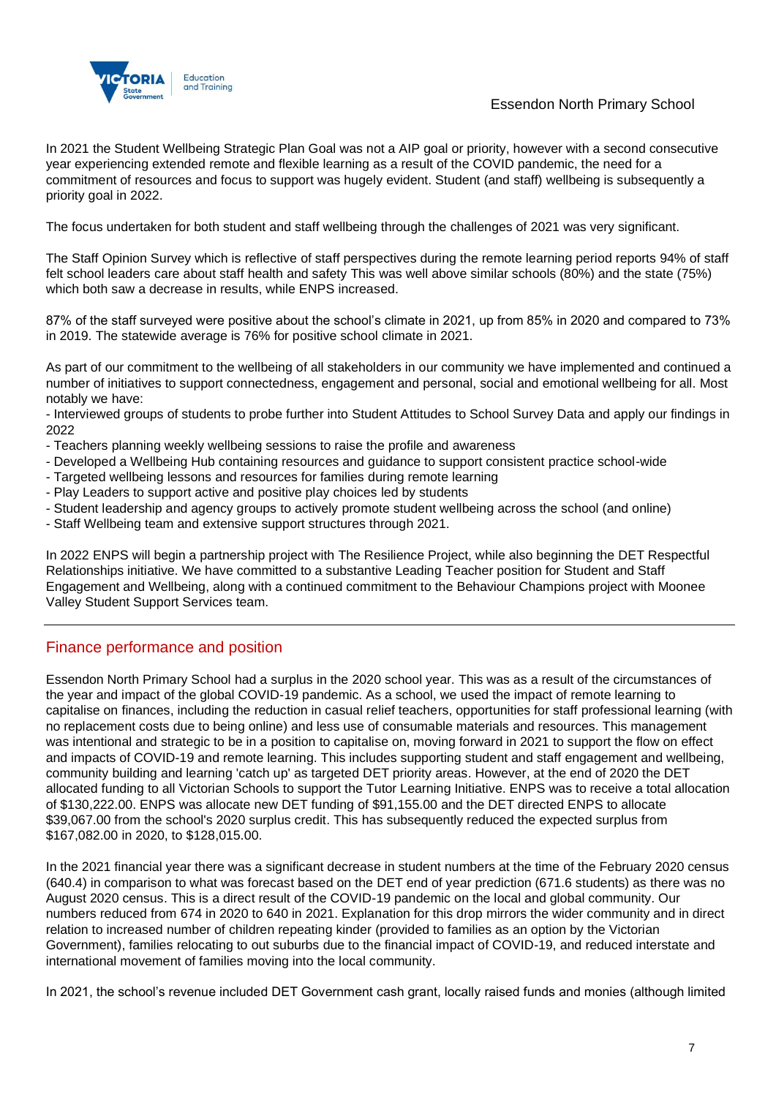

Essendon North Primary School

In 2021 the Student Wellbeing Strategic Plan Goal was not a AIP goal or priority, however with a second consecutive year experiencing extended remote and flexible learning as a result of the COVID pandemic, the need for a commitment of resources and focus to support was hugely evident. Student (and staff) wellbeing is subsequently a priority goal in 2022.

The focus undertaken for both student and staff wellbeing through the challenges of 2021 was very significant.

The Staff Opinion Survey which is reflective of staff perspectives during the remote learning period reports 94% of staff felt school leaders care about staff health and safety This was well above similar schools (80%) and the state (75%) which both saw a decrease in results, while ENPS increased.

87% of the staff surveyed were positive about the school's climate in 2021, up from 85% in 2020 and compared to 73% in 2019. The statewide average is 76% for positive school climate in 2021.

As part of our commitment to the wellbeing of all stakeholders in our community we have implemented and continued a number of initiatives to support connectedness, engagement and personal, social and emotional wellbeing for all. Most notably we have:

- Interviewed groups of students to probe further into Student Attitudes to School Survey Data and apply our findings in 2022

- Teachers planning weekly wellbeing sessions to raise the profile and awareness
- Developed a Wellbeing Hub containing resources and guidance to support consistent practice school-wide
- Targeted wellbeing lessons and resources for families during remote learning
- Play Leaders to support active and positive play choices led by students
- Student leadership and agency groups to actively promote student wellbeing across the school (and online)
- Staff Wellbeing team and extensive support structures through 2021.

In 2022 ENPS will begin a partnership project with The Resilience Project, while also beginning the DET Respectful Relationships initiative. We have committed to a substantive Leading Teacher position for Student and Staff Engagement and Wellbeing, along with a continued commitment to the Behaviour Champions project with Moonee Valley Student Support Services team.

## Finance performance and position

Essendon North Primary School had a surplus in the 2020 school year. This was as a result of the circumstances of the year and impact of the global COVID-19 pandemic. As a school, we used the impact of remote learning to capitalise on finances, including the reduction in casual relief teachers, opportunities for staff professional learning (with no replacement costs due to being online) and less use of consumable materials and resources. This management was intentional and strategic to be in a position to capitalise on, moving forward in 2021 to support the flow on effect and impacts of COVID-19 and remote learning. This includes supporting student and staff engagement and wellbeing, community building and learning 'catch up' as targeted DET priority areas. However, at the end of 2020 the DET allocated funding to all Victorian Schools to support the Tutor Learning Initiative. ENPS was to receive a total allocation of \$130,222.00. ENPS was allocate new DET funding of \$91,155.00 and the DET directed ENPS to allocate \$39,067.00 from the school's 2020 surplus credit. This has subsequently reduced the expected surplus from \$167,082.00 in 2020, to \$128,015.00.

In the 2021 financial year there was a significant decrease in student numbers at the time of the February 2020 census (640.4) in comparison to what was forecast based on the DET end of year prediction (671.6 students) as there was no August 2020 census. This is a direct result of the COVID-19 pandemic on the local and global community. Our numbers reduced from 674 in 2020 to 640 in 2021. Explanation for this drop mirrors the wider community and in direct relation to increased number of children repeating kinder (provided to families as an option by the Victorian Government), families relocating to out suburbs due to the financial impact of COVID-19, and reduced interstate and international movement of families moving into the local community.

In 2021, the school's revenue included DET Government cash grant, locally raised funds and monies (although limited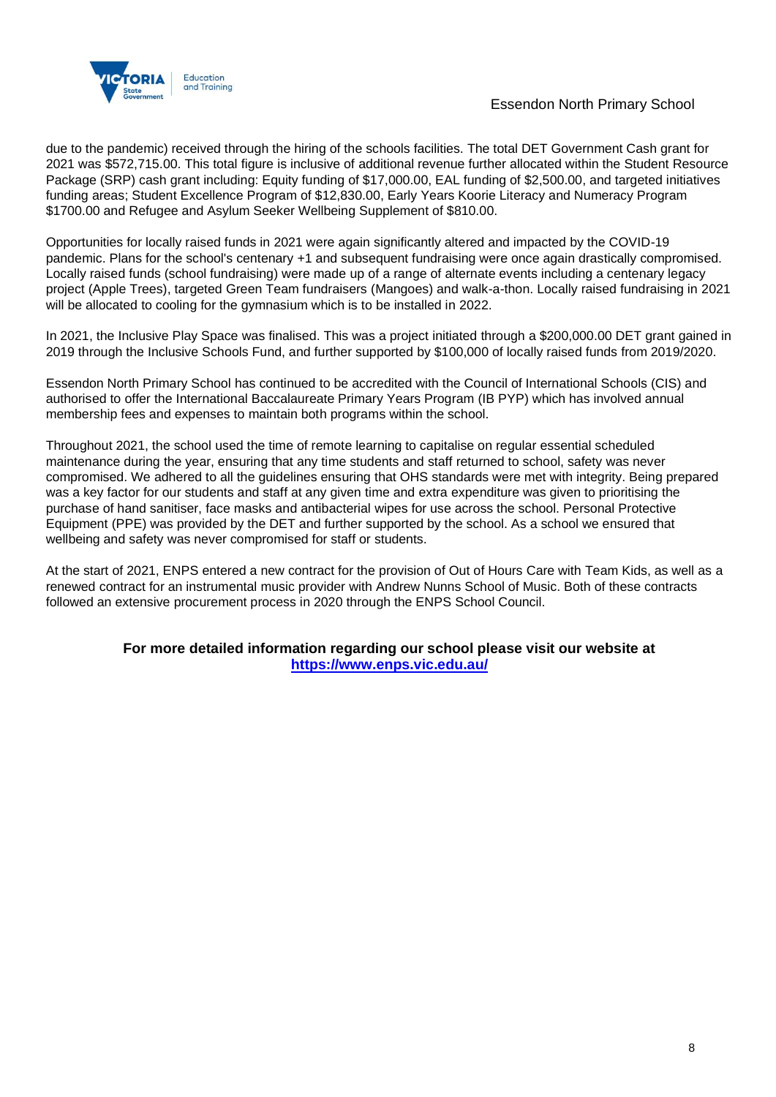

due to the pandemic) received through the hiring of the schools facilities. The total DET Government Cash grant for 2021 was \$572,715.00. This total figure is inclusive of additional revenue further allocated within the Student Resource Package (SRP) cash grant including: Equity funding of \$17,000.00, EAL funding of \$2,500.00, and targeted initiatives funding areas; Student Excellence Program of \$12,830.00, Early Years Koorie Literacy and Numeracy Program \$1700.00 and Refugee and Asylum Seeker Wellbeing Supplement of \$810.00.

Opportunities for locally raised funds in 2021 were again significantly altered and impacted by the COVID-19 pandemic. Plans for the school's centenary +1 and subsequent fundraising were once again drastically compromised. Locally raised funds (school fundraising) were made up of a range of alternate events including a centenary legacy project (Apple Trees), targeted Green Team fundraisers (Mangoes) and walk-a-thon. Locally raised fundraising in 2021 will be allocated to cooling for the gymnasium which is to be installed in 2022.

In 2021, the Inclusive Play Space was finalised. This was a project initiated through a \$200,000.00 DET grant gained in 2019 through the Inclusive Schools Fund, and further supported by \$100,000 of locally raised funds from 2019/2020.

Essendon North Primary School has continued to be accredited with the Council of International Schools (CIS) and authorised to offer the International Baccalaureate Primary Years Program (IB PYP) which has involved annual membership fees and expenses to maintain both programs within the school.

Throughout 2021, the school used the time of remote learning to capitalise on regular essential scheduled maintenance during the year, ensuring that any time students and staff returned to school, safety was never compromised. We adhered to all the guidelines ensuring that OHS standards were met with integrity. Being prepared was a key factor for our students and staff at any given time and extra expenditure was given to prioritising the purchase of hand sanitiser, face masks and antibacterial wipes for use across the school. Personal Protective Equipment (PPE) was provided by the DET and further supported by the school. As a school we ensured that wellbeing and safety was never compromised for staff or students.

At the start of 2021, ENPS entered a new contract for the provision of Out of Hours Care with Team Kids, as well as a renewed contract for an instrumental music provider with Andrew Nunns School of Music. Both of these contracts followed an extensive procurement process in 2020 through the ENPS School Council.

### **For more detailed information regarding our school please visit our website at <https://www.enps.vic.edu.au/>**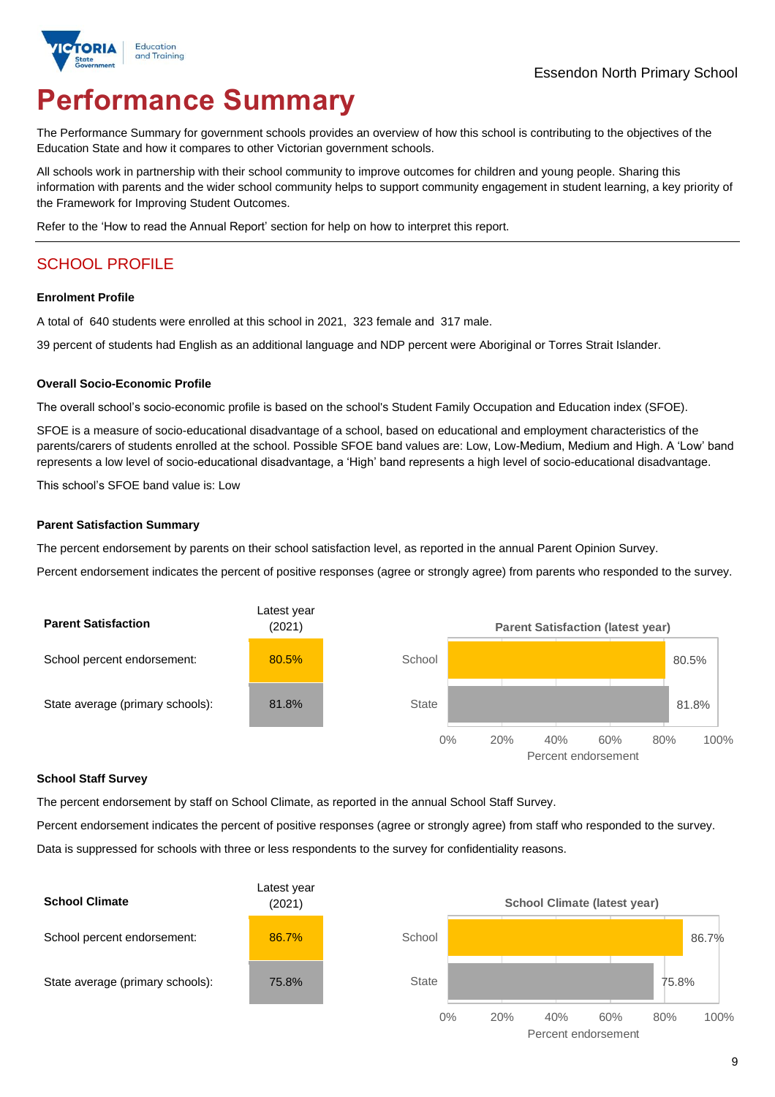

# **Performance Summary**

The Performance Summary for government schools provides an overview of how this school is contributing to the objectives of the Education State and how it compares to other Victorian government schools.

All schools work in partnership with their school community to improve outcomes for children and young people. Sharing this information with parents and the wider school community helps to support community engagement in student learning, a key priority of the Framework for Improving Student Outcomes.

Refer to the 'How to read the Annual Report' section for help on how to interpret this report.

# SCHOOL PROFILE

#### **Enrolment Profile**

A total of 640 students were enrolled at this school in 2021, 323 female and 317 male.

39 percent of students had English as an additional language and NDP percent were Aboriginal or Torres Strait Islander.

#### **Overall Socio-Economic Profile**

The overall school's socio-economic profile is based on the school's Student Family Occupation and Education index (SFOE).

SFOE is a measure of socio-educational disadvantage of a school, based on educational and employment characteristics of the parents/carers of students enrolled at the school. Possible SFOE band values are: Low, Low-Medium, Medium and High. A 'Low' band represents a low level of socio-educational disadvantage, a 'High' band represents a high level of socio-educational disadvantage.

This school's SFOE band value is: Low

#### **Parent Satisfaction Summary**

The percent endorsement by parents on their school satisfaction level, as reported in the annual Parent Opinion Survey.

Percent endorsement indicates the percent of positive responses (agree or strongly agree) from parents who responded to the survey.



#### **School Staff Survey**

The percent endorsement by staff on School Climate, as reported in the annual School Staff Survey.

Percent endorsement indicates the percent of positive responses (agree or strongly agree) from staff who responded to the survey.

Data is suppressed for schools with three or less respondents to the survey for confidentiality reasons.

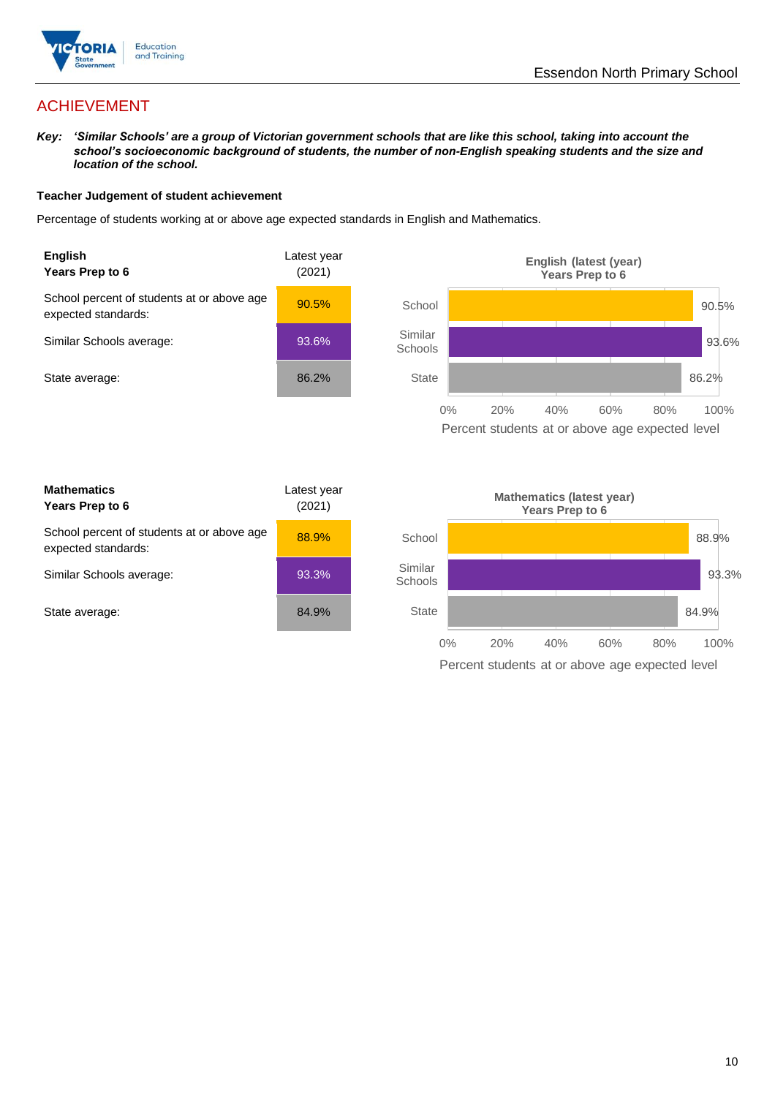

# ACHIEVEMENT

*Key: 'Similar Schools' are a group of Victorian government schools that are like this school, taking into account the school's socioeconomic background of students, the number of non-English speaking students and the size and location of the school.*

### **Teacher Judgement of student achievement**

Percentage of students working at or above age expected standards in English and Mathematics.



Similar **Schools** 

**State** 





0% 20% 40% 60% 80% 100%

Percent students at or above age expected level



93.3%

84.9%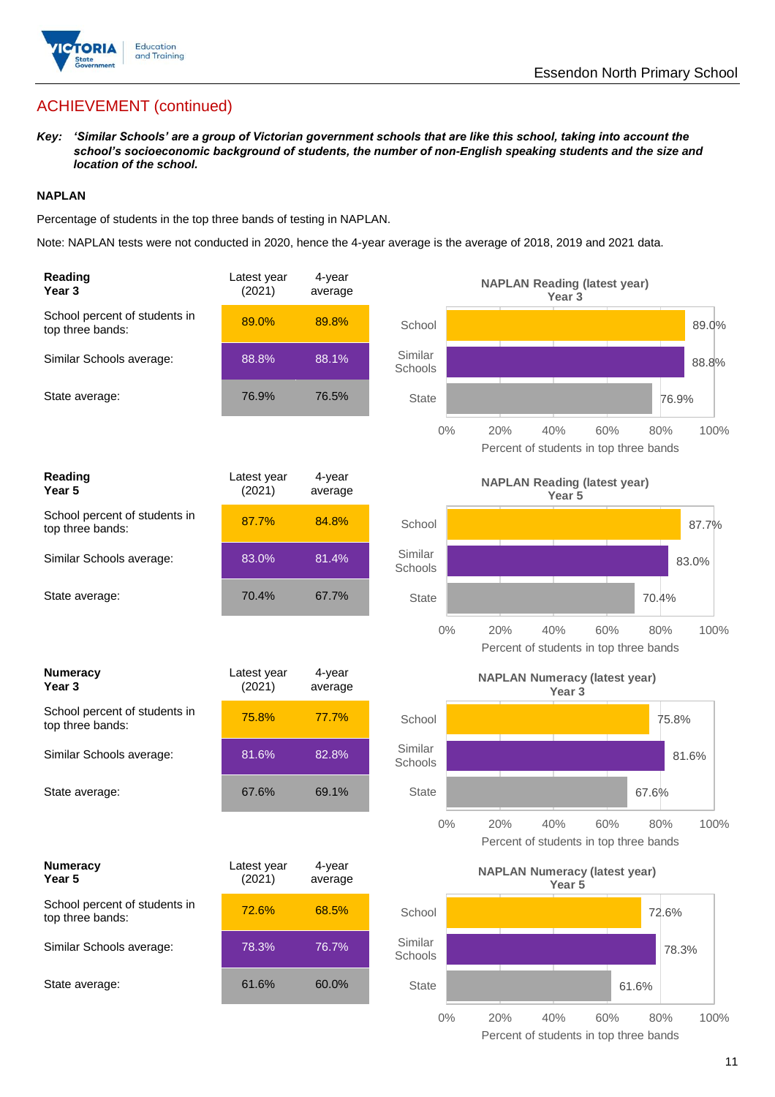

# ACHIEVEMENT (continued)

*Key: 'Similar Schools' are a group of Victorian government schools that are like this school, taking into account the school's socioeconomic background of students, the number of non-English speaking students and the size and location of the school.*

### **NAPLAN**

Percentage of students in the top three bands of testing in NAPLAN.

Note: NAPLAN tests were not conducted in 2020, hence the 4-year average is the average of 2018, 2019 and 2021 data.

| Reading<br>Year <sub>3</sub>                      | Latest year<br>(2021) | 4-year<br>average |                    | <b>NAPLAN Reading (latest year)</b><br>Year <sub>3</sub>  |                    |
|---------------------------------------------------|-----------------------|-------------------|--------------------|-----------------------------------------------------------|--------------------|
| School percent of students in<br>top three bands: | 89.0%                 | 89.8%             | School             |                                                           | 89.0%              |
| Similar Schools average:                          | 88.8%                 | 88.1%             | Similar<br>Schools |                                                           | 88.8%              |
| State average:                                    | 76.9%                 | 76.5%             | <b>State</b>       |                                                           | 76.9%              |
|                                                   |                       |                   | $0\%$              | 20%<br>40%<br>Percent of students in top three bands      | 60%<br>100%<br>80% |
| Reading<br>Year <sub>5</sub>                      | Latest year<br>(2021) | 4-year<br>average |                    | <b>NAPLAN Reading (latest year)</b><br>Year <sub>5</sub>  |                    |
| School percent of students in<br>top three bands: | 87.7%                 | 84.8%             | School             |                                                           | 87.7%              |
| Similar Schools average:                          | 83.0%                 | 81.4%             | Similar<br>Schools |                                                           | 83.0%              |
| State average:                                    | 70.4%                 | 67.7%             | <b>State</b>       |                                                           | 70.4%              |
|                                                   |                       |                   | $0\%$              | 20%<br>40%<br>Percent of students in top three bands      | 60%<br>80%<br>100% |
| <b>Numeracy</b><br>Year <sub>3</sub>              | Latest year<br>(2021) | 4-year<br>average |                    | <b>NAPLAN Numeracy (latest year)</b><br>Year <sub>3</sub> |                    |
|                                                   |                       |                   |                    |                                                           |                    |
| School percent of students in<br>top three bands: | 75.8%                 | 77.7%             | School             |                                                           | 75.8%              |
| Similar Schools average:                          | 81.6%                 | 82.8%             | Similar<br>Schools |                                                           | 81.6%              |
| State average:                                    | 67.6%                 | 69.1%             | <b>State</b>       |                                                           | 67.6%              |
|                                                   |                       |                   | 0%                 | 40%<br>20%<br>Percent of students in top three bands      | 100%<br>60%<br>80% |
| <b>Numeracy</b><br>Year 5                         | Latest year<br>(2021) | 4-year<br>average |                    | <b>NAPLAN Numeracy (latest year)</b><br>Year <sub>5</sub> |                    |
| School percent of students in<br>top three bands: | 72.6%                 | 68.5%             | School             |                                                           | 72.6%              |
| Similar Schools average:                          | 78.3%                 | 76.7%             | Similar<br>Schools |                                                           | 78.3%              |
| State average:                                    | 61.6%                 | 60.0%             | <b>State</b>       |                                                           | 61.6%              |

11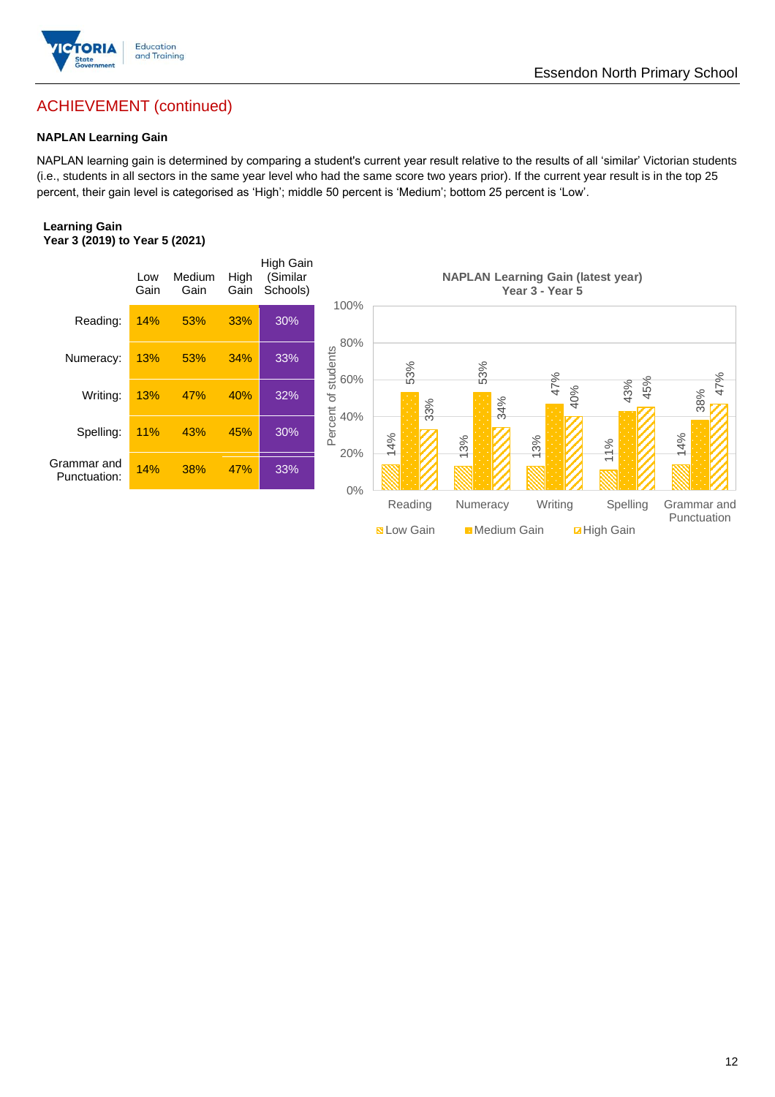

# Essendon North Primary School

# ACHIEVEMENT (continued)

### **NAPLAN Learning Gain**

NAPLAN learning gain is determined by comparing a student's current year result relative to the results of all 'similar' Victorian students (i.e., students in all sectors in the same year level who had the same score two years prior). If the current year result is in the top 25 percent, their gain level is categorised as 'High'; middle 50 percent is 'Medium'; bottom 25 percent is 'Low'.

#### **Learning Gain Year 3 (2019) to Year 5 (2021)**

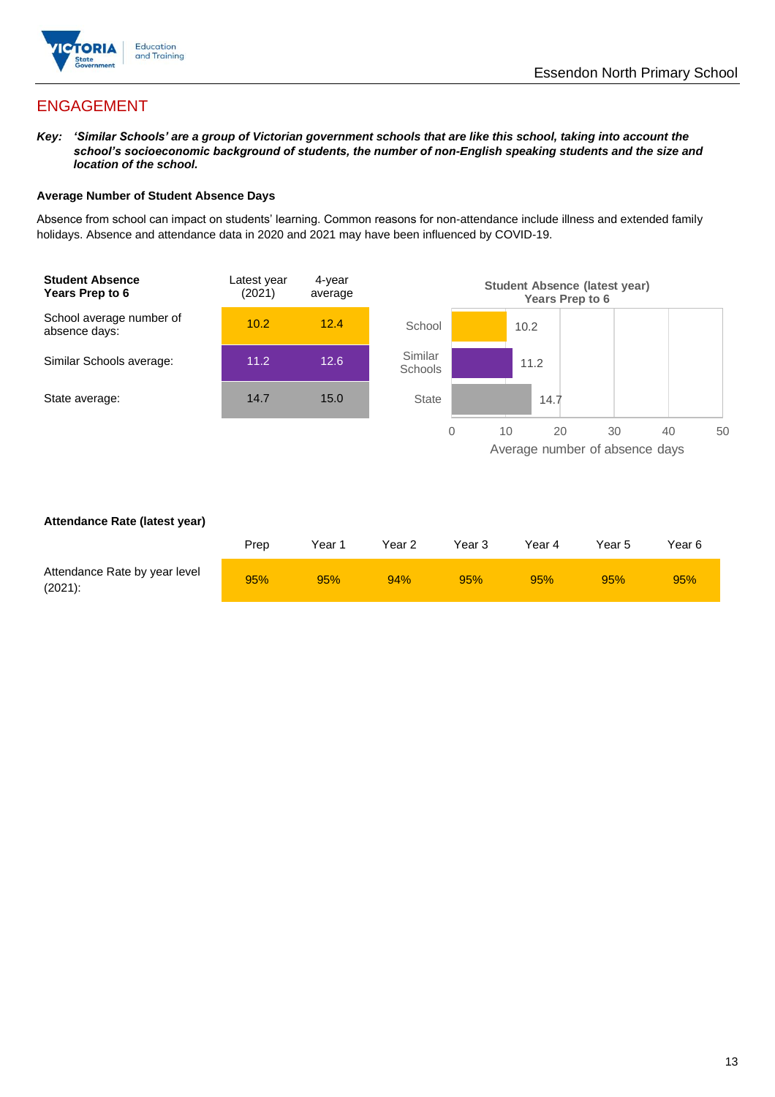

# ENGAGEMENT

*Key: 'Similar Schools' are a group of Victorian government schools that are like this school, taking into account the school's socioeconomic background of students, the number of non-English speaking students and the size and location of the school.*

### **Average Number of Student Absence Days**

Absence from school can impact on students' learning. Common reasons for non-attendance include illness and extended family holidays. Absence and attendance data in 2020 and 2021 may have been influenced by COVID-19.



### **Attendance Rate (latest year)**

|                                             | Prep | Year 1 | Year 2 | Year 3 | Year 4 | Year 5 | Year 6 |
|---------------------------------------------|------|--------|--------|--------|--------|--------|--------|
| Attendance Rate by year level<br>$(2021)$ : | 95%  | 95%    | 94%    | 95%    | 95%    | 95%    | 95%    |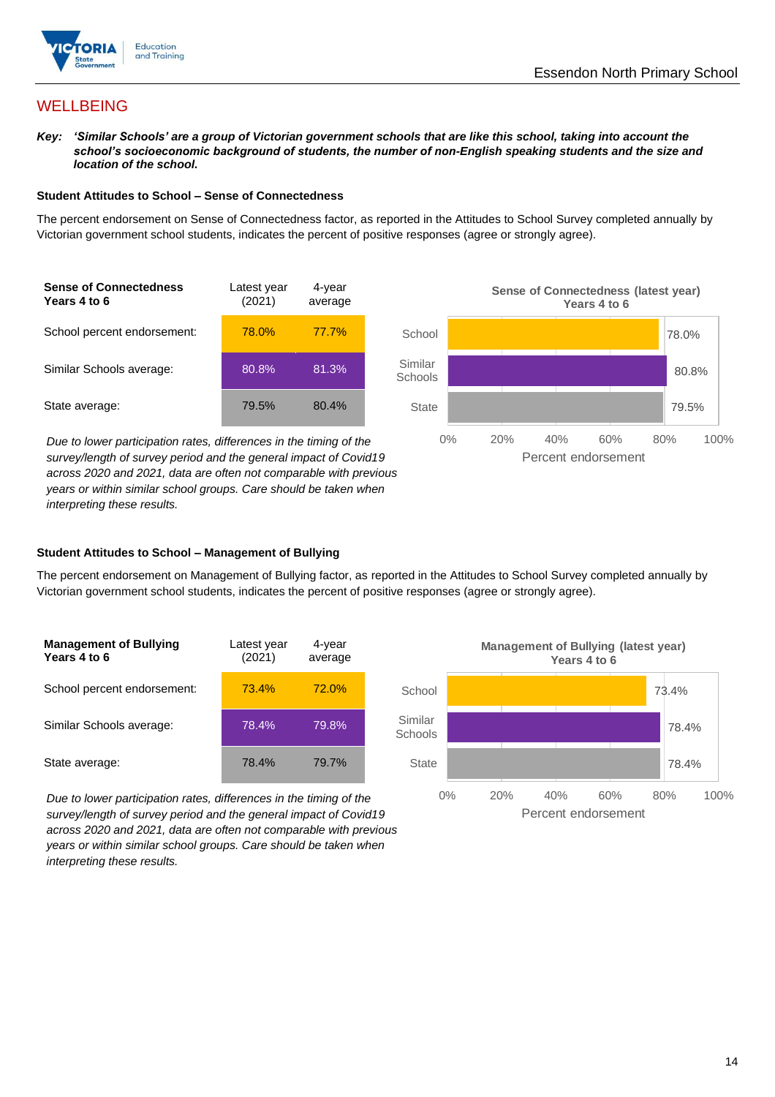



# **WELLBEING**

*Key: 'Similar Schools' are a group of Victorian government schools that are like this school, taking into account the school's socioeconomic background of students, the number of non-English speaking students and the size and location of the school.*

### **Student Attitudes to School – Sense of Connectedness**

The percent endorsement on Sense of Connectedness factor, as reported in the Attitudes to School Survey completed annually by Victorian government school students, indicates the percent of positive responses (agree or strongly agree).



78.0% 80.8% 79.5% 0% 20% 40% 60% 80% 100% School Similar **Schools State** Percent endorsement **Sense of Connectedness (latest year) Years 4 to 6**

*Due to lower participation rates, differences in the timing of the survey/length of survey period and the general impact of Covid19 across 2020 and 2021, data are often not comparable with previous years or within similar school groups. Care should be taken when interpreting these results.*

### **Student Attitudes to School – Management of Bullying**

The percent endorsement on Management of Bullying factor, as reported in the Attitudes to School Survey completed annually by Victorian government school students, indicates the percent of positive responses (agree or strongly agree).

| <b>Management of Bullying</b><br>Years 4 to 6 | Latest year<br>(2021) | 4-year<br>average |  |
|-----------------------------------------------|-----------------------|-------------------|--|
| School percent endorsement:                   | 73.4%                 | 72.0%             |  |
| Similar Schools average:                      | 78.4%                 | 79.8%             |  |
| State average:                                | 78.4%                 | 79.7%             |  |

*Due to lower participation rates, differences in the timing of the survey/length of survey period and the general impact of Covid19 across 2020 and 2021, data are often not comparable with previous years or within similar school groups. Care should be taken when interpreting these results.*

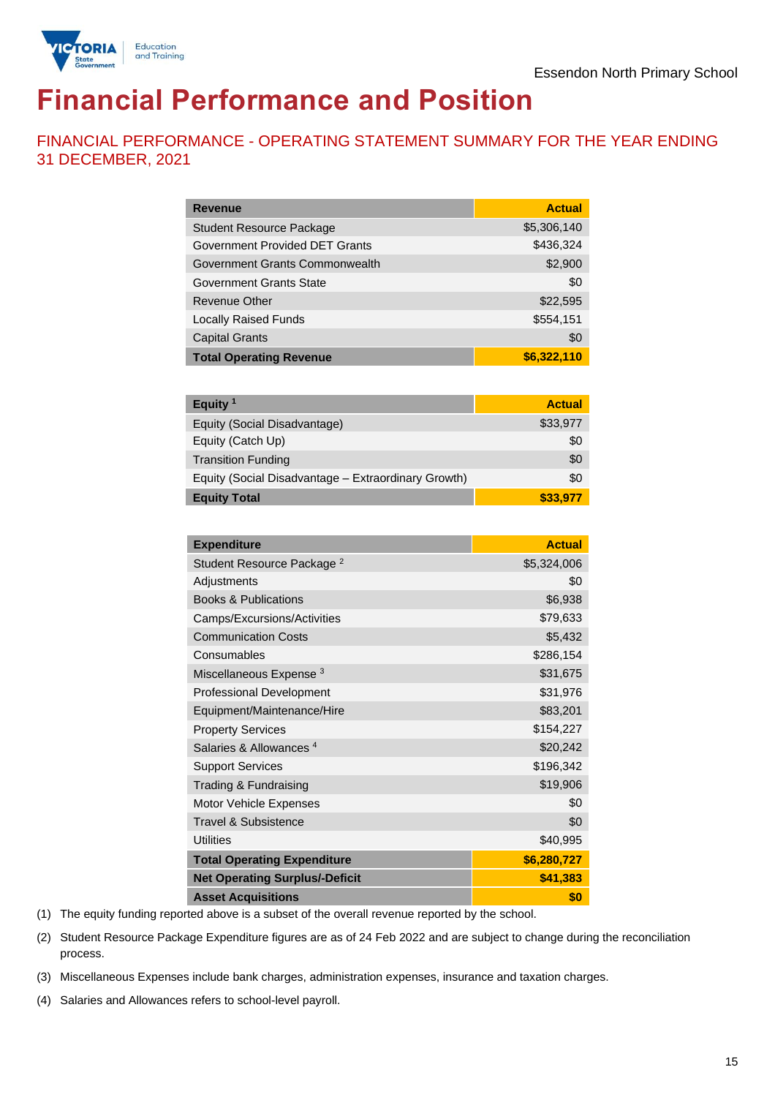

# **Financial Performance and Position**

FINANCIAL PERFORMANCE - OPERATING STATEMENT SUMMARY FOR THE YEAR ENDING 31 DECEMBER, 2021

| <b>Revenue</b>                  | <b>Actual</b> |
|---------------------------------|---------------|
| <b>Student Resource Package</b> | \$5,306,140   |
| Government Provided DET Grants  | \$436,324     |
| Government Grants Commonwealth  | \$2,900       |
| Government Grants State         | \$0           |
| <b>Revenue Other</b>            | \$22,595      |
| <b>Locally Raised Funds</b>     | \$554,151     |
| <b>Capital Grants</b>           | \$0           |
| <b>Total Operating Revenue</b>  | \$6,322,110   |

| Equity <sup>1</sup>                                 | <b>Actual</b> |
|-----------------------------------------------------|---------------|
| Equity (Social Disadvantage)                        | \$33,977      |
| Equity (Catch Up)                                   | \$0           |
| <b>Transition Funding</b>                           | \$0           |
| Equity (Social Disadvantage - Extraordinary Growth) | \$0           |
| <b>Equity Total</b>                                 | \$33,977      |

| <b>Expenditure</b>                    | <b>Actual</b> |
|---------------------------------------|---------------|
| Student Resource Package <sup>2</sup> | \$5,324,006   |
| Adjustments                           | \$0           |
| <b>Books &amp; Publications</b>       | \$6,938       |
| Camps/Excursions/Activities           | \$79,633      |
| <b>Communication Costs</b>            | \$5,432       |
| Consumables                           | \$286,154     |
| Miscellaneous Expense <sup>3</sup>    | \$31,675      |
| <b>Professional Development</b>       | \$31,976      |
| Equipment/Maintenance/Hire            | \$83,201      |
| <b>Property Services</b>              | \$154,227     |
| Salaries & Allowances <sup>4</sup>    | \$20,242      |
| <b>Support Services</b>               | \$196,342     |
| Trading & Fundraising                 | \$19,906      |
| Motor Vehicle Expenses                | \$0           |
| <b>Travel &amp; Subsistence</b>       | \$0           |
| <b>Utilities</b>                      | \$40,995      |
| <b>Total Operating Expenditure</b>    | \$6,280,727   |
| <b>Net Operating Surplus/-Deficit</b> | \$41,383      |
| <b>Asset Acquisitions</b>             | \$0           |

(1) The equity funding reported above is a subset of the overall revenue reported by the school.

(2) Student Resource Package Expenditure figures are as of 24 Feb 2022 and are subject to change during the reconciliation process.

(3) Miscellaneous Expenses include bank charges, administration expenses, insurance and taxation charges.

(4) Salaries and Allowances refers to school-level payroll.